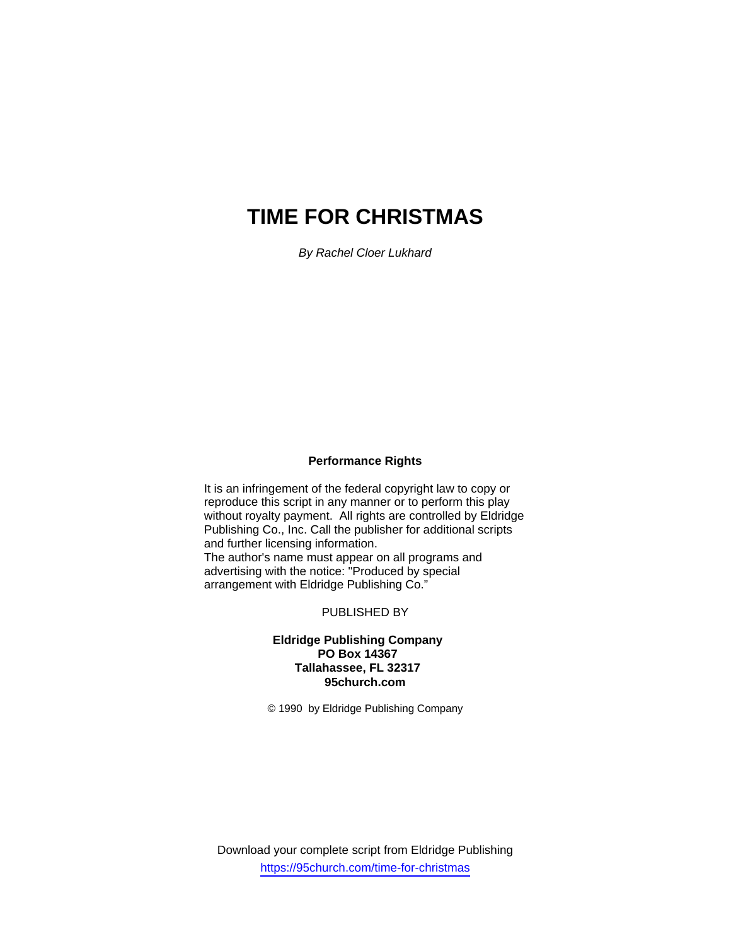# **TIME FOR CHRISTMAS**

*By Rachel Cloer Lukhard* 

# **Performance Rights**

It is an infringement of the federal copyright law to copy or reproduce this script in any manner or to perform this play without royalty payment. All rights are controlled by Eldridge Publishing Co., Inc. Call the publisher for additional scripts and further licensing information.

The author's name must appear on all programs and advertising with the notice: "Produced by special arrangement with Eldridge Publishing Co."

PUBLISHED BY

# **Eldridge Publishing Company PO Box 14367 Tallahassee, FL 32317 95church.com**

© 1990 by Eldridge Publishing Company

Download your complete script from Eldridge Publishing https://95church.com/time-for-christmas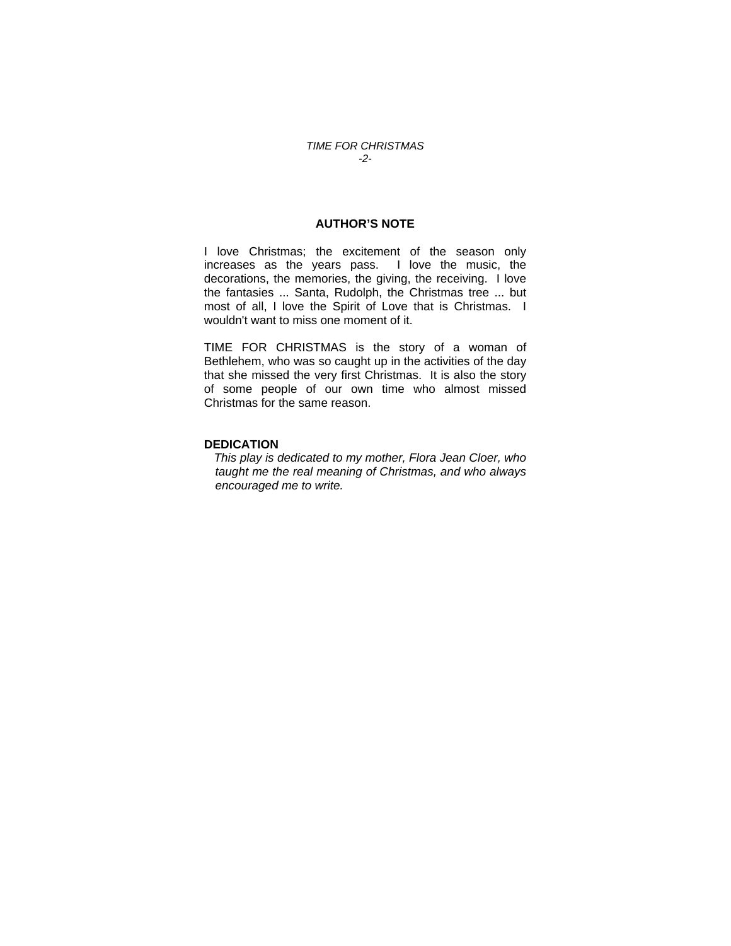# **AUTHOR'S NOTE**

I love Christmas; the excitement of the season only increases as the years pass. I love the music, the decorations, the memories, the giving, the receiving. I love the fantasies ... Santa, Rudolph, the Christmas tree ... but most of all, I love the Spirit of Love that is Christmas. I wouldn't want to miss one moment of it.

TIME FOR CHRISTMAS is the story of a woman of Bethlehem, who was so caught up in the activities of the day that she missed the very first Christmas. It is also the story of some people of our own time who almost missed Christmas for the same reason.

#### **DEDICATION**

 *This play is dedicated to my mother, Flora Jean Cloer, who taught me the real meaning of Christmas, and who always encouraged me to write.*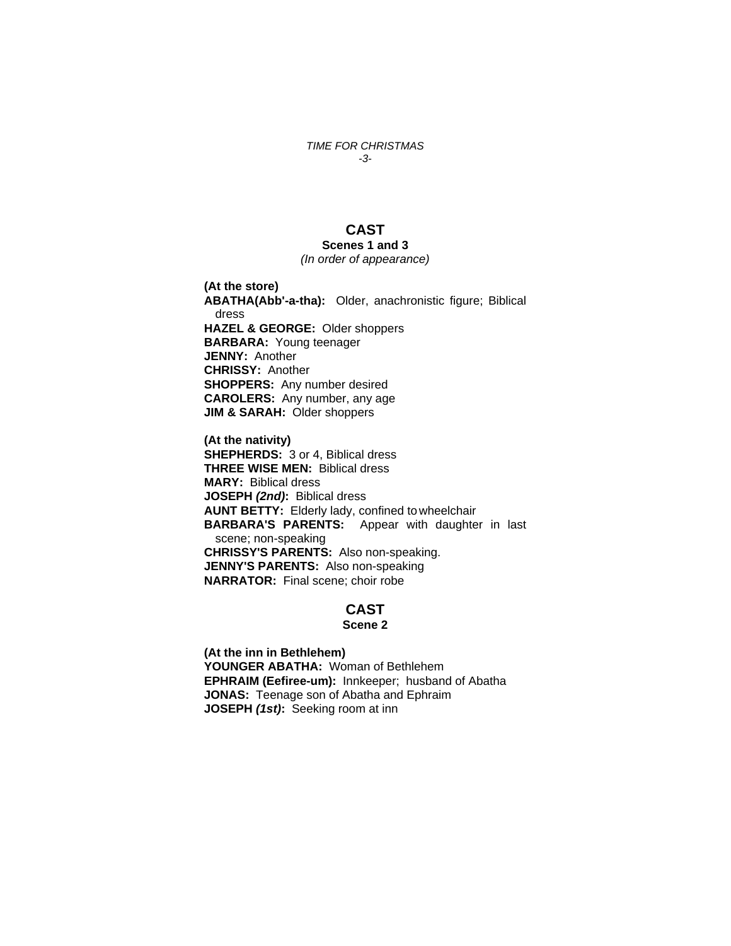*TIME FOR CHRISTMAS -3-* 

# **CAST**

# **Scenes 1 and 3**

*(In order of appearance)* 

**(At the store) ABATHA(Abb'-a-tha):** Older, anachronistic figure; Biblical dress **HAZEL & GEORGE:** Older shoppers **BARBARA:** Young teenager **JENNY:** Another **CHRISSY:** Another **SHOPPERS:** Any number desired **CAROLERS:** Any number, any age **JIM & SARAH:** Older shoppers

**(At the nativity) SHEPHERDS:** 3 or 4, Biblical dress **THREE WISE MEN:** Biblical dress **MARY:** Biblical dress **JOSEPH** *(2nd)***:** Biblical dress **AUNT BETTY:** Elderly lady, confined to wheelchair **BARBARA'S PARENTS:** Appear with daughter in last scene; non-speaking **CHRISSY'S PARENTS:** Also non-speaking. **JENNY'S PARENTS:** Also non-speaking **NARRATOR:** Final scene; choir robe

# **CAST Scene 2**

**(At the inn in Bethlehem) YOUNGER ABATHA:** Woman of Bethlehem **EPHRAIM (Eefiree-um):** Innkeeper; husband of Abatha **JONAS:** Teenage son of Abatha and Ephraim **JOSEPH** *(1st)***:** Seeking room at inn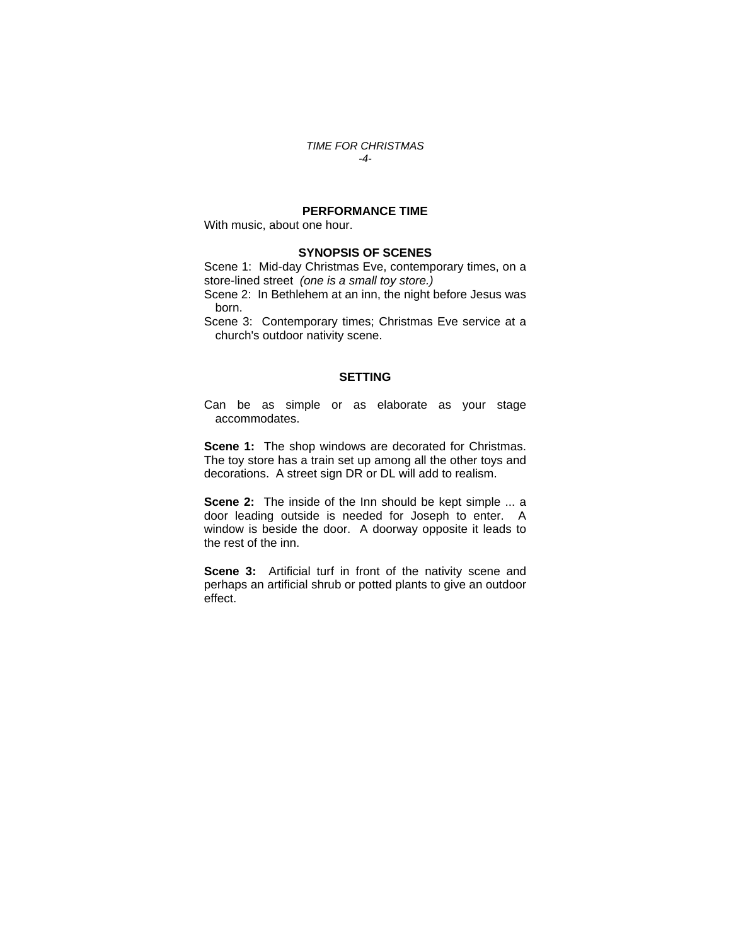#### *TIME FOR CHRISTMAS -4-*

#### **PERFORMANCE TIME**

With music, about one hour.

#### **SYNOPSIS OF SCENES**

Scene 1: Mid-day Christmas Eve, contemporary times, on a store-lined street *(one is a small toy store.)*

Scene 2: In Bethlehem at an inn, the night before Jesus was born.

Scene 3: Contemporary times; Christmas Eve service at a church's outdoor nativity scene.

### **SETTING**

Can be as simple or as elaborate as your stage accommodates.

**Scene 1:** The shop windows are decorated for Christmas. The toy store has a train set up among all the other toys and decorations. A street sign DR or DL will add to realism.

**Scene 2:** The inside of the Inn should be kept simple ... a door leading outside is needed for Joseph to enter. A window is beside the door. A doorway opposite it leads to the rest of the inn.

**Scene 3:** Artificial turf in front of the nativity scene and perhaps an artificial shrub or potted plants to give an outdoor effect.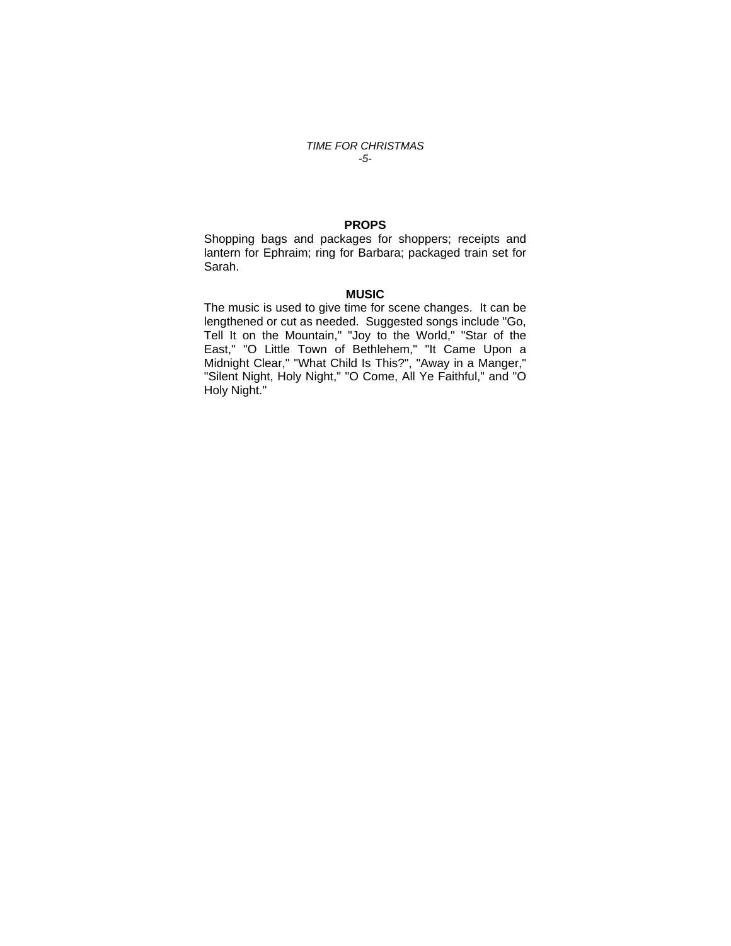# *TIME FOR CHRISTMAS -5-*

### **PROPS**

Shopping bags and packages for shoppers; receipts and lantern for Ephraim; ring for Barbara; packaged train set for Sarah.

#### **MUSIC**

The music is used to give time for scene changes. It can be lengthened or cut as needed. Suggested songs include "Go, Tell It on the Mountain," "Joy to the World," "Star of the East," "O Little Town of Bethlehem," "It Came Upon a Midnight Clear," "What Child Is This?", "Away in a Manger," "Silent Night, Holy Night," "O Come, All Ye Faithful," and "O Holy Night."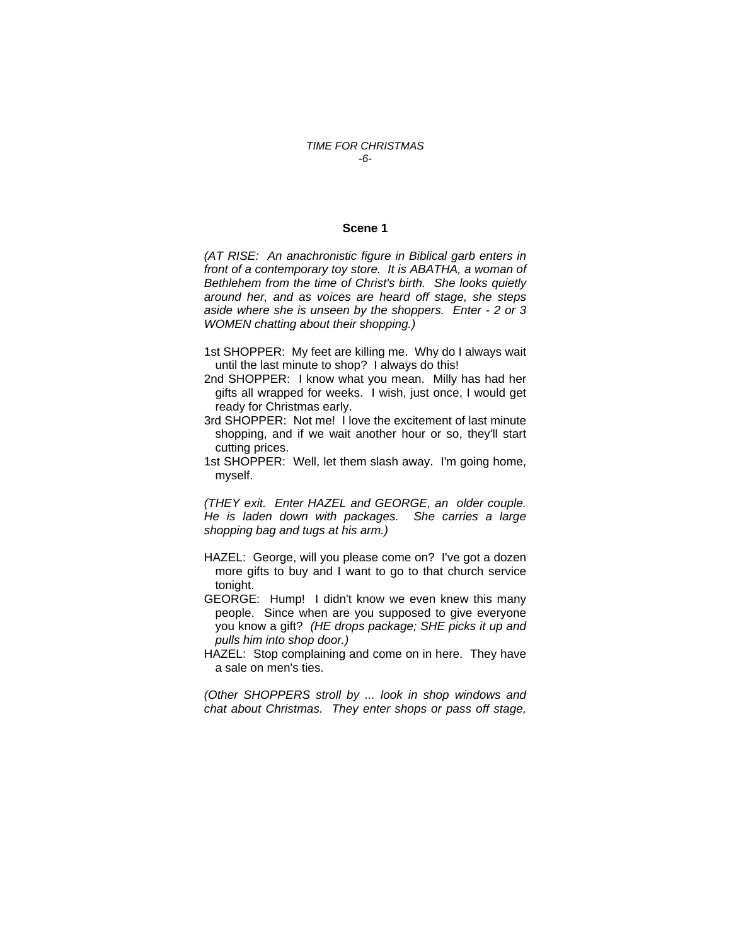#### *TIME FOR CHRISTMAS -6-*

#### **Scene 1**

*(AT RISE: An anachronistic figure in Biblical garb enters in front of a contemporary toy store. It is ABATHA, a woman of Bethlehem from the time of Christ's birth. She looks quietly around her, and as voices are heard off stage, she steps aside where she is unseen by the shoppers. Enter - 2 or 3 WOMEN chatting about their shopping.)* 

- 1st SHOPPER: My feet are killing me. Why do I always wait until the last minute to shop? I always do this!
- 2nd SHOPPER: I know what you mean. Milly has had her gifts all wrapped for weeks. I wish, just once, I would get ready for Christmas early.
- 3rd SHOPPER: Not me! I love the excitement of last minute shopping, and if we wait another hour or so, they'll start cutting prices.
- 1st SHOPPER: Well, let them slash away. I'm going home, myself.

*(THEY exit. Enter HAZEL and GEORGE, an older couple. He is laden down with packages. She carries a large shopping bag and tugs at his arm.)* 

- HAZEL: George, will you please come on? I've got a dozen more gifts to buy and I want to go to that church service tonight.
- GEORGE: Hump! I didn't know we even knew this many people. Since when are you supposed to give everyone you know a gift? *(HE drops package; SHE picks it up and pulls him into shop door.)*
- HAZEL: Stop complaining and come on in here. They have a sale on men's ties.

*(Other SHOPPERS stroll by ... look in shop windows and chat about Christmas. They enter shops or pass off stage,*